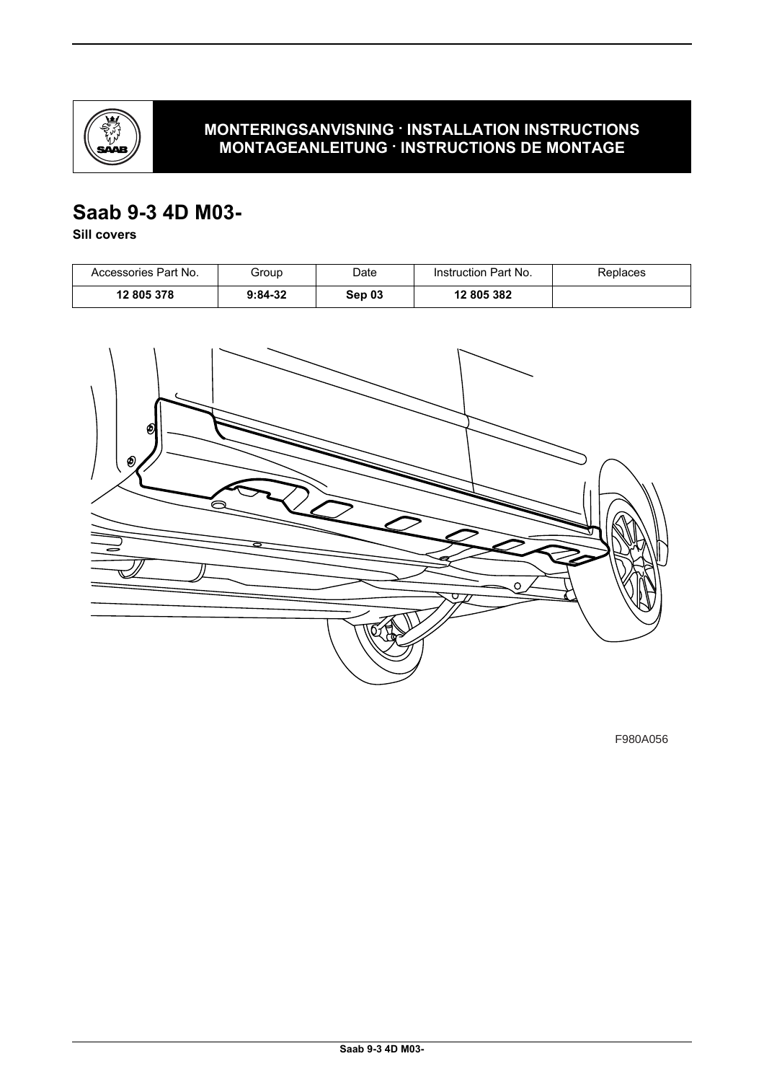

## **MONTERINGSANVISNING · INSTALLATION INSTRUCTIONS MONTAGEANLEITUNG · INSTRUCTIONS DE MONTAGE**

# **Saab 9-3 4D M03-**

**Sill covers**

| Accessories Part No. | Group     | Date   | Instruction Part No. | Replaces |
|----------------------|-----------|--------|----------------------|----------|
| 12 805 378           | $9:84-32$ | Sep 03 | 12 805 382           |          |



F980A056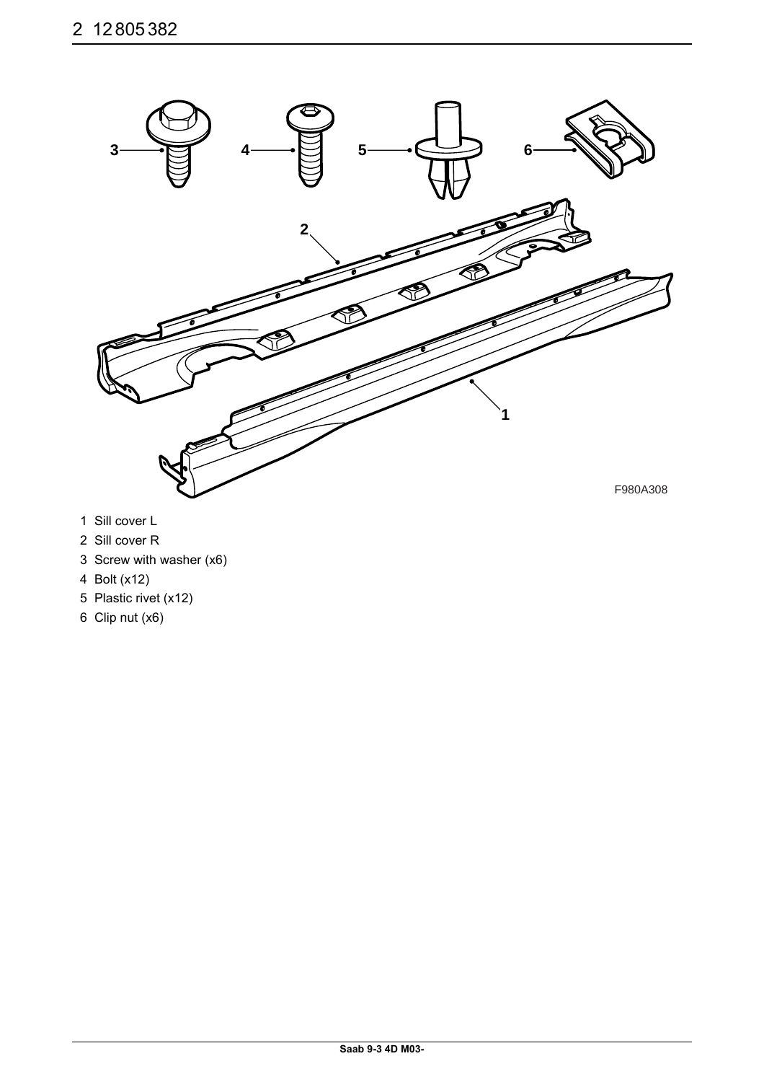

- 1 Sill cover L
- 2 Sill cover R
- 3 Screw with washer (x6)
- 4 Bolt (x12)
- 5 Plastic rivet (x12)
- 6 Clip nut (x6)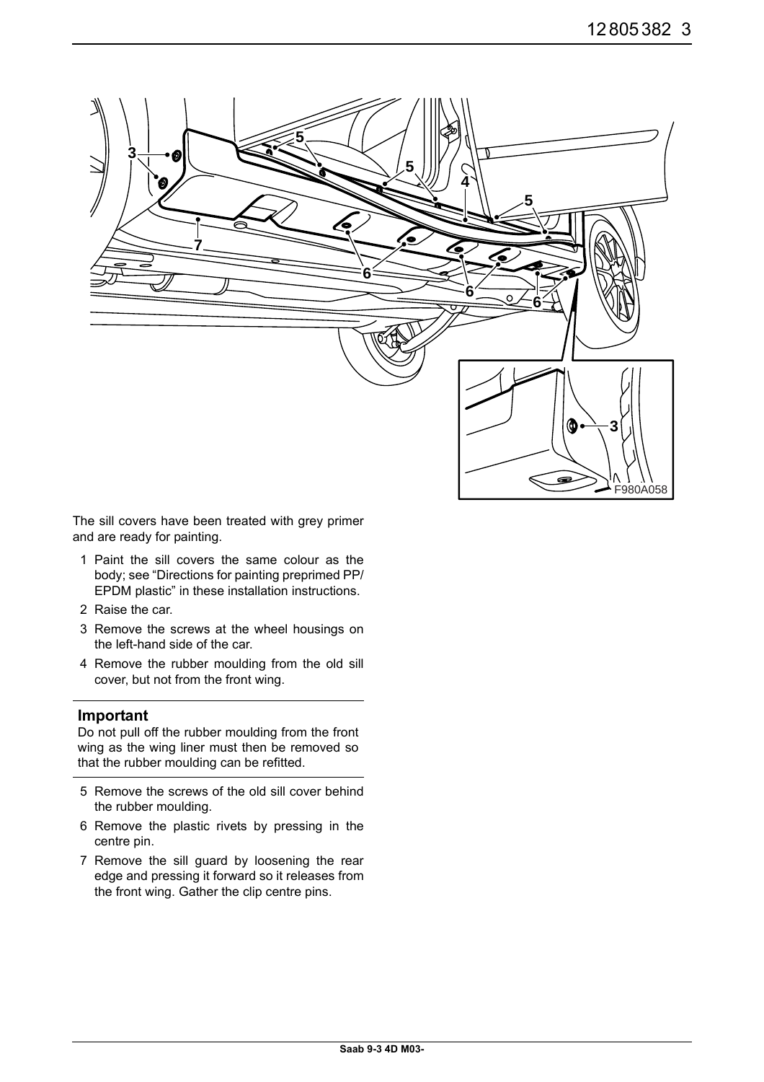

The sill covers have been treated with grey primer and are ready for painting.

- 1 Paint the sill covers the same colour as the body; see "Directions for painting preprimed PP/ EPDM plastic" in these installation instructions.
- 2 Raise the car.
- 3 Remove the screws at the wheel housings on the left-hand side of the car.
- 4 Remove the rubber moulding from the old sill cover, but not from the front wing.

## **Important**

Do not pull off the rubber moulding from the front wing as the wing liner must then be removed so that the rubber moulding can be refitted.

- 5 Remove the screws of the old sill cover behind the rubber moulding.
- 6 Remove the plastic rivets by pressing in the centre pin.
- 7 Remove the sill guard by loosening the rear edge and pressing it forward so it releases from the front wing. Gather the clip centre pins.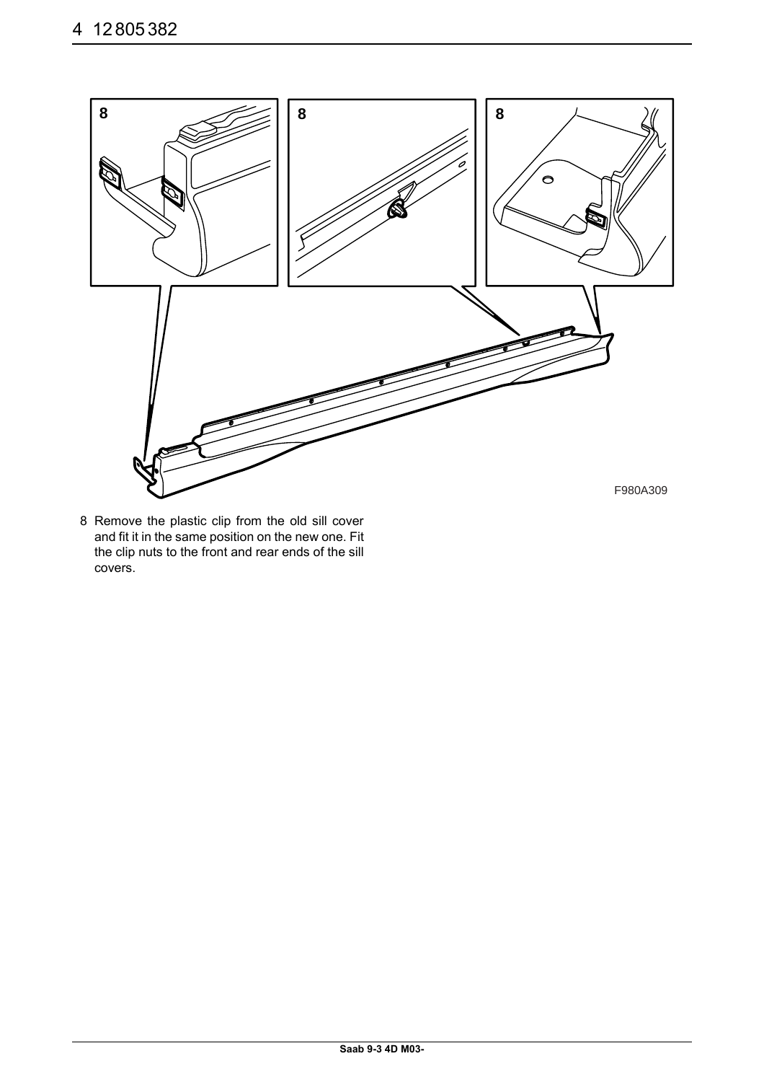

8 Remove the plastic clip from the old sill cover and fit it in the same position on the new one. Fit the clip nuts to the front and rear ends of the sill covers.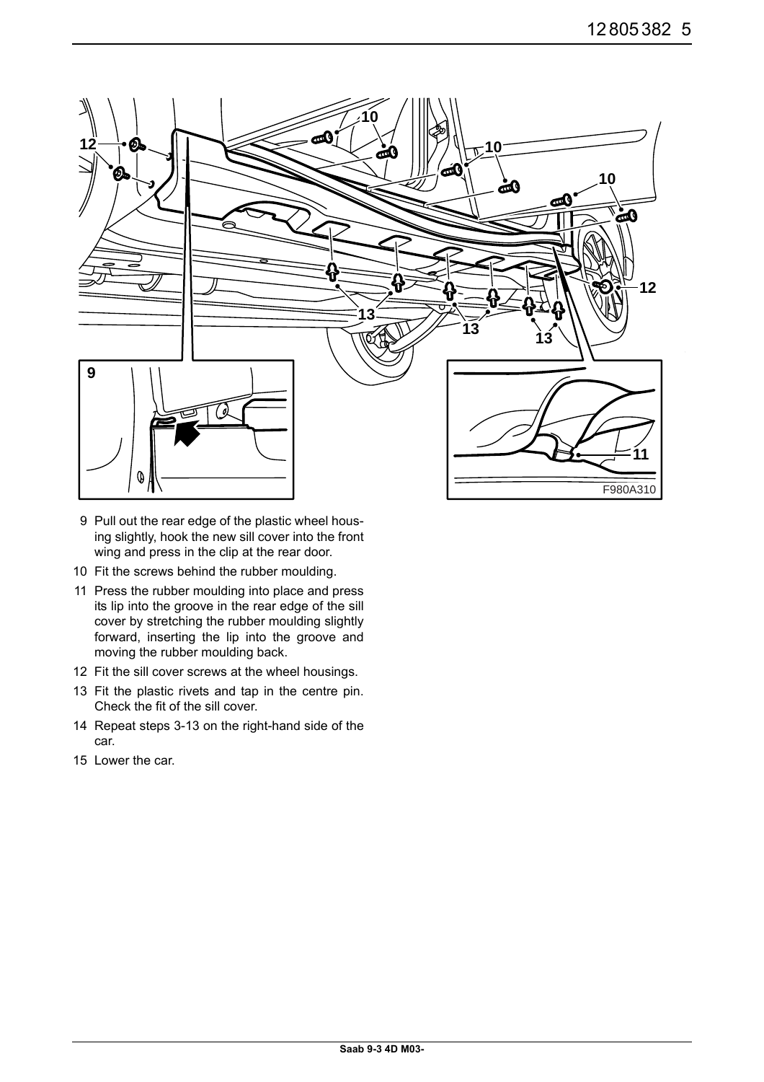

- 9 Pull out the rear edge of the plastic wheel housing slightly, hook the new sill cover into the front wing and press in the clip at the rear door.
- 10 Fit the screws behind the rubber moulding.
- 11 Press the rubber moulding into place and press its lip into the groove in the rear edge of the sill cover by stretching the rubber moulding slightly forward, inserting the lip into the groove and moving the rubber moulding back.
- 12 Fit the sill cover screws at the wheel housings.
- 13 Fit the plastic rivets and tap in the centre pin. Check the fit of the sill cover.
- 14 Repeat steps 3-13 on the right-hand side of the car.
- 15 Lower the car.